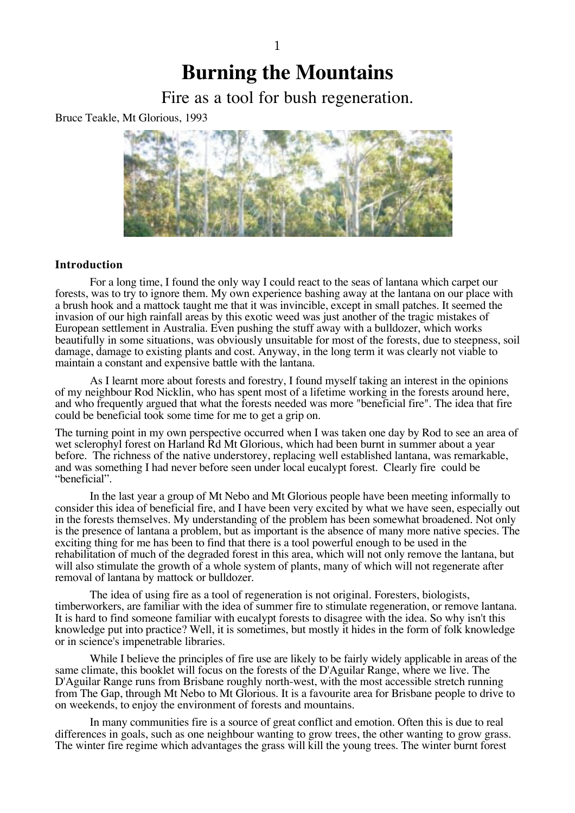# **Burning the Mountains**

Fire as a tool for bush regeneration.

Bruce Teakle, Mt Glorious, 1993



# **Introduction**

For a long time, I found the only way I could react to the seas of lantana which carpet our forests, was to try to ignore them. My own experience bashing away at the lantana on our place with a brush hook and a mattock taught me that it was invincible, except in small patches. It seemed the invasion of our high rainfall areas by this exotic weed was just another of the tragic mistakes of European settlement in Australia. Even pushing the stuff away with a bulldozer, which works beautifully in some situations, was obviously unsuitable for most of the forests, due to steepness, soil damage, damage to existing plants and cost. Anyway, in the long term it was clearly not viable to maintain a constant and expensive battle with the lantana.

As I learnt more about forests and forestry, I found myself taking an interest in the opinions of my neighbour Rod Nicklin, who has spent most of a lifetime working in the forests around here, and who frequently argued that what the forests needed was more "beneficial fire". The idea that fire could be beneficial took some time for me to get a grip on.

The turning point in my own perspective occurred when I was taken one day by Rod to see an area of wet sclerophyl forest on Harland Rd Mt Glorious, which had been burnt in summer about a year before. The richness of the native understorey, replacing well established lantana, was remarkable, and was something I had never before seen under local eucalypt forest. Clearly fire could be "beneficial".

In the last year a group of Mt Nebo and Mt Glorious people have been meeting informally to consider this idea of beneficial fire, and I have been very excited by what we have seen, especially out in the forests themselves. My understanding of the problem has been somewhat broadened. Not only is the presence of lantana a problem, but as important is the absence of many more native species. The exciting thing for me has been to find that there is a tool powerful enough to be used in the rehabilitation of much of the degraded forest in this area, which will not only remove the lantana, but will also stimulate the growth of a whole system of plants, many of which will not regenerate after removal of lantana by mattock or bulldozer.

The idea of using fire as a tool of regeneration is not original. Foresters, biologists, timberworkers, are familiar with the idea of summer fire to stimulate regeneration, or remove lantana. It is hard to find someone familiar with eucalypt forests to disagree with the idea. So why isn't this knowledge put into practice? Well, it is sometimes, but mostly it hides in the form of folk knowledge or in science's impenetrable libraries.

While I believe the principles of fire use are likely to be fairly widely applicable in areas of the same climate, this booklet will focus on the forests of the D'Aguilar Range, where we live. The D'Aguilar Range runs from Brisbane roughly north-west, with the most accessible stretch running from The Gap, through Mt Nebo to Mt Glorious. It is a favourite area for Brisbane people to drive to on weekends, to enjoy the environment of forests and mountains.

In many communities fire is a source of great conflict and emotion. Often this is due to real differences in goals, such as one neighbour wanting to grow trees, the other wanting to grow grass. The winter fire regime which advantages the grass will kill the young trees. The winter burnt forest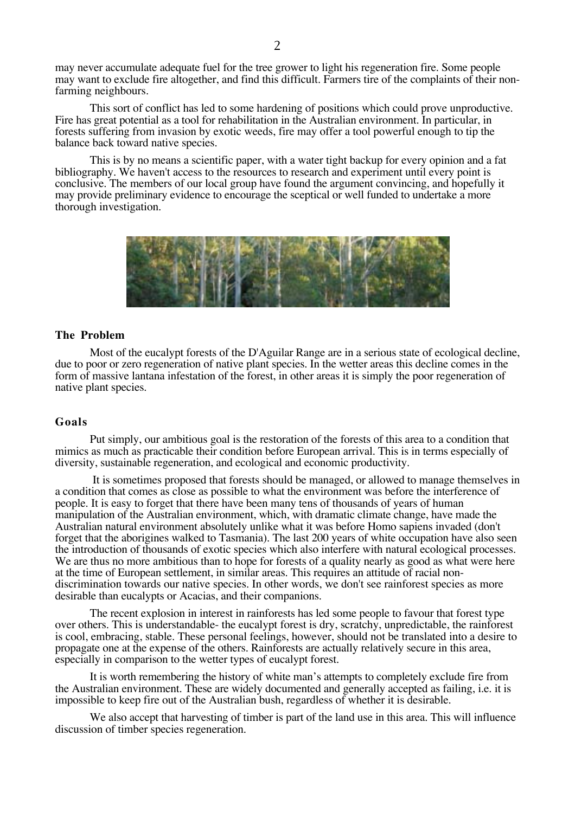may never accumulate adequate fuel for the tree grower to light his regeneration fire. Some people may want to exclude fire altogether, and find this difficult. Farmers tire of the complaints of their nonfarming neighbours.

This sort of conflict has led to some hardening of positions which could prove unproductive. Fire has great potential as a tool for rehabilitation in the Australian environment. In particular, in forests suffering from invasion by exotic weeds, fire may offer a tool powerful enough to tip the balance back toward native species.

This is by no means a scientific paper, with a water tight backup for every opinion and a fat bibliography. We haven't access to the resources to research and experiment until every point is conclusive. The members of our local group have found the argument convincing, and hopefully it may provide preliminary evidence to encourage the sceptical or well funded to undertake a more thorough investigation.



# **The Problem**

Most of the eucalypt forests of the D'Aguilar Range are in a serious state of ecological decline, due to poor or zero regeneration of native plant species. In the wetter areas this decline comes in the form of massive lantana infestation of the forest, in other areas it is simply the poor regeneration of native plant species.

## **Goals**

Put simply, our ambitious goal is the restoration of the forests of this area to a condition that mimics as much as practicable their condition before European arrival. This is in terms especially of diversity, sustainable regeneration, and ecological and economic productivity.

 It is sometimes proposed that forests should be managed, or allowed to manage themselves in a condition that comes as close as possible to what the environment was before the interference of people. It is easy to forget that there have been many tens of thousands of years of human manipulation of the Australian environment, which, with dramatic climate change, have made the Australian natural environment absolutely unlike what it was before Homo sapiens invaded (don't forget that the aborigines walked to Tasmania). The last 200 years of white occupation have also seen the introduction of thousands of exotic species which also interfere with natural ecological processes. We are thus no more ambitious than to hope for forests of a quality nearly as good as what were here at the time of European settlement, in similar areas. This requires an attitude of racial nondiscrimination towards our native species. In other words, we don't see rainforest species as more desirable than eucalypts or Acacias, and their companions.

The recent explosion in interest in rainforests has led some people to favour that forest type over others. This is understandable- the eucalypt forest is dry, scratchy, unpredictable, the rainforest is cool, embracing, stable. These personal feelings, however, should not be translated into a desire to propagate one at the expense of the others. Rainforests are actually relatively secure in this area, especially in comparison to the wetter types of eucalypt forest.

It is worth remembering the history of white man's attempts to completely exclude fire from the Australian environment. These are widely documented and generally accepted as failing, i.e. it is impossible to keep fire out of the Australian bush, regardless of whether it is desirable.

We also accept that harvesting of timber is part of the land use in this area. This will influence discussion of timber species regeneration.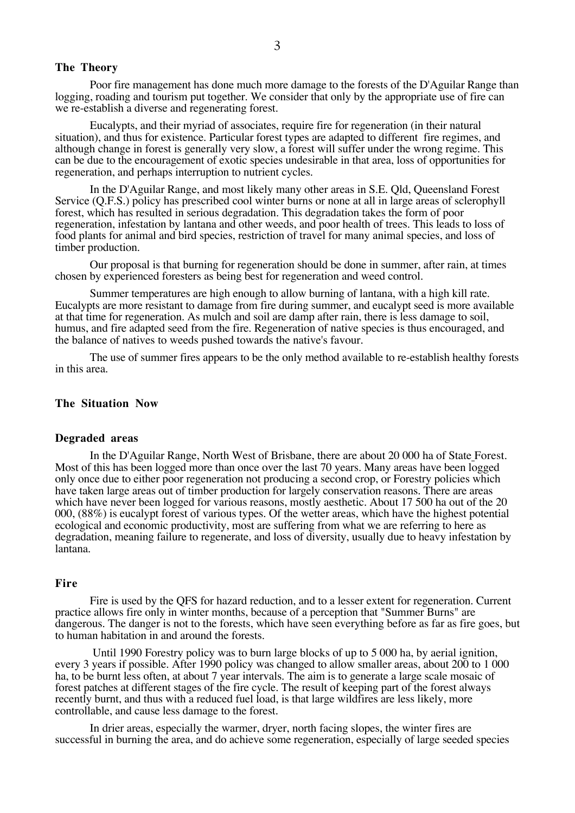# **The Theory**

Poor fire management has done much more damage to the forests of the D'Aguilar Range than logging, roading and tourism put together. We consider that only by the appropriate use of fire can we re-establish a diverse and regenerating forest.

Eucalypts, and their myriad of associates, require fire for regeneration (in their natural situation), and thus for existence. Particular forest types are adapted to different fire regimes, and although change in forest is generally very slow, a forest will suffer under the wrong regime. This can be due to the encouragement of exotic species undesirable in that area, loss of opportunities for regeneration, and perhaps interruption to nutrient cycles.

In the D'Aguilar Range, and most likely many other areas in S.E. Qld, Queensland Forest Service (Q.F.S.) policy has prescribed cool winter burns or none at all in large areas of sclerophyll forest, which has resulted in serious degradation. This degradation takes the form of poor regeneration, infestation by lantana and other weeds, and poor health of trees. This leads to loss of food plants for animal and bird species, restriction of travel for many animal species, and loss of timber production.

Our proposal is that burning for regeneration should be done in summer, after rain, at times chosen by experienced foresters as being best for regeneration and weed control.

Summer temperatures are high enough to allow burning of lantana, with a high kill rate. Eucalypts are more resistant to damage from fire during summer, and eucalypt seed is more available at that time for regeneration. As mulch and soil are damp after rain, there is less damage to soil, humus, and fire adapted seed from the fire. Regeneration of native species is thus encouraged, and the balance of natives to weeds pushed towards the native's favour.

The use of summer fires appears to be the only method available to re-establish healthy forests in this area.

#### **The Situation Now**

# **Degraded areas**

In the D'Aguilar Range, North West of Brisbane, there are about 20 000 ha of State Forest. Most of this has been logged more than once over the last 70 years. Many areas have been logged only once due to either poor regeneration not producing a second crop, or Forestry policies which have taken large areas out of timber production for largely conservation reasons. There are areas which have never been logged for various reasons, mostly aesthetic. About 17 500 ha out of the 20 000, (88%) is eucalypt forest of various types. Of the wetter areas, which have the highest potential ecological and economic productivity, most are suffering from what we are referring to here as degradation, meaning failure to regenerate, and loss of diversity, usually due to heavy infestation by lantana.

# **Fire**

Fire is used by the QFS for hazard reduction, and to a lesser extent for regeneration. Current practice allows fire only in winter months, because of a perception that "Summer Burns" are dangerous. The danger is not to the forests, which have seen everything before as far as fire goes, but to human habitation in and around the forests.

 Until 1990 Forestry policy was to burn large blocks of up to 5 000 ha, by aerial ignition, every 3 years if possible. After 1990 policy was changed to allow smaller areas, about 200 to 1 000 ha, to be burnt less often, at about 7 year intervals. The aim is to generate a large scale mosaic of forest patches at different stages of the fire cycle. The result of keeping part of the forest always recently burnt, and thus with a reduced fuel load, is that large wildfires are less likely, more controllable, and cause less damage to the forest.

In drier areas, especially the warmer, dryer, north facing slopes, the winter fires are successful in burning the area, and do achieve some regeneration, especially of large seeded species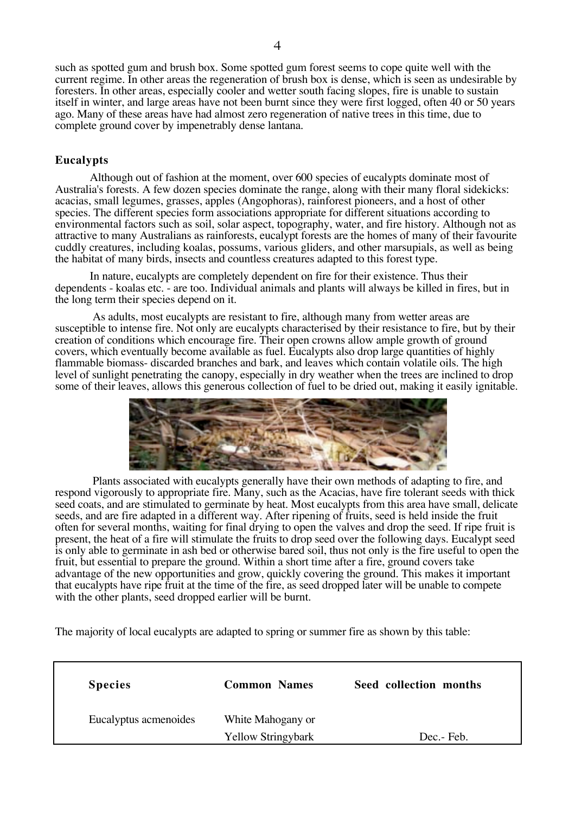such as spotted gum and brush box. Some spotted gum forest seems to cope quite well with the current regime. In other areas the regeneration of brush box is dense, which is seen as undesirable by foresters. In other areas, especially cooler and wetter south facing slopes, fire is unable to sustain itself in winter, and large areas have not been burnt since they were first logged, often 40 or 50 years ago. Many of these areas have had almost zero regeneration of native trees in this time, due to complete ground cover by impenetrably dense lantana.

# **Eucalypts**

Although out of fashion at the moment, over 600 species of eucalypts dominate most of Australia's forests. A few dozen species dominate the range, along with their many floral sidekicks: acacias, small legumes, grasses, apples (Angophoras), rainforest pioneers, and a host of other species. The different species form associations appropriate for different situations according to environmental factors such as soil, solar aspect, topography, water, and fire history. Although not as attractive to many Australians as rainforests, eucalypt forests are the homes of many of their favourite cuddly creatures, including koalas, possums, various gliders, and other marsupials, as well as being the habitat of many birds, insects and countless creatures adapted to this forest type.

In nature, eucalypts are completely dependent on fire for their existence. Thus their dependents - koalas etc. - are too. Individual animals and plants will always be killed in fires, but in the long term their species depend on it.

 As adults, most eucalypts are resistant to fire, although many from wetter areas are susceptible to intense fire. Not only are eucalypts characterised by their resistance to fire, but by their creation of conditions which encourage fire. Their open crowns allow ample growth of ground covers, which eventually become available as fuel. Eucalypts also drop large quantities of highly flammable biomass- discarded branches and bark, and leaves which contain volatile oils. The high level of sunlight penetrating the canopy, especially in dry weather when the trees are inclined to drop some of their leaves, allows this generous collection of fuel to be dried out, making it easily ignitable.



 Plants associated with eucalypts generally have their own methods of adapting to fire, and respond vigorously to appropriate fire. Many, such as the Acacias, have fire tolerant seeds with thick seed coats, and are stimulated to germinate by heat. Most eucalypts from this area have small, delicate seeds, and are fire adapted in a different way. After ripening of fruits, seed is held inside the fruit often for several months, waiting for final drying to open the valves and drop the seed. If ripe fruit is present, the heat of a fire will stimulate the fruits to drop seed over the following days. Eucalypt seed is only able to germinate in ash bed or otherwise bared soil, thus not only is the fire useful to open the fruit, but essential to prepare the ground. Within a short time after a fire, ground covers take advantage of the new opportunities and grow, quickly covering the ground. This makes it important that eucalypts have ripe fruit at the time of the fire, as seed dropped later will be unable to compete with the other plants, seed dropped earlier will be burnt.

The majority of local eucalypts are adapted to spring or summer fire as shown by this table:

| <b>Species</b>        | <b>Common Names</b>                            | Seed collection months |
|-----------------------|------------------------------------------------|------------------------|
| Eucalyptus acmenoides | White Mahogany or<br><b>Yellow Stringybark</b> | Dec.- Feb.             |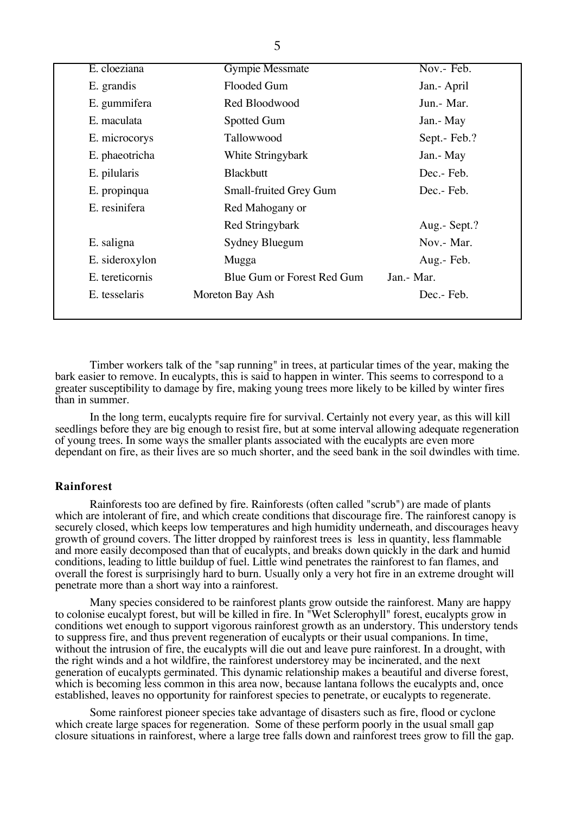| E. cloeziana    | <b>Gympie Messmate</b>        | Nov.- Feb.   |
|-----------------|-------------------------------|--------------|
| E. grandis      | Flooded Gum                   | Jan.- April  |
| E. gummifera    | Red Bloodwood                 | Jun. - Mar.  |
| E. maculata     | <b>Spotted Gum</b>            | Jan.- May    |
| E. microcorys   | Tallowwood                    | Sept.- Feb.? |
| E. phaeotricha  | White Stringybark             | Jan.- May    |
| E. pilularis    | <b>Blackbutt</b>              | Dec. Feb.    |
| E. propinqua    | <b>Small-fruited Grey Gum</b> | Dec.- Feb.   |
| E. resinifera   | Red Mahogany or               |              |
|                 | Red Stringybark               | Aug.- Sept.? |
| E. saligna      | Sydney Bluegum                | Nov.- Mar.   |
| E. sideroxylon  | Mugga                         | Aug.- Feb.   |
| E. tereticornis | Blue Gum or Forest Red Gum    | Jan.- Mar.   |
| E. tesselaris   | Moreton Bay Ash               | Dec.-Feb.    |
|                 |                               |              |

Timber workers talk of the "sap running" in trees, at particular times of the year, making the bark easier to remove. In eucalypts, this is said to happen in winter. This seems to correspond to a greater susceptibility to damage by fire, making young trees more likely to be killed by winter fires than in summer.

In the long term, eucalypts require fire for survival. Certainly not every year, as this will kill seedlings before they are big enough to resist fire, but at some interval allowing adequate regeneration of young trees. In some ways the smaller plants associated with the eucalypts are even more dependant on fire, as their lives are so much shorter, and the seed bank in the soil dwindles with time.

## **Rainforest**

Rainforests too are defined by fire. Rainforests (often called "scrub") are made of plants which are intolerant of fire, and which create conditions that discourage fire. The rainforest canopy is securely closed, which keeps low temperatures and high humidity underneath, and discourages heavy growth of ground covers. The litter dropped by rainforest trees is less in quantity, less flammable and more easily decomposed than that of eucalypts, and breaks down quickly in the dark and humid conditions, leading to little buildup of fuel. Little wind penetrates the rainforest to fan flames, and overall the forest is surprisingly hard to burn. Usually only a very hot fire in an extreme drought will penetrate more than a short way into a rainforest.

Many species considered to be rainforest plants grow outside the rainforest. Many are happy to colonise eucalypt forest, but will be killed in fire. In "Wet Sclerophyll" forest, eucalypts grow in conditions wet enough to support vigorous rainforest growth as an understory. This understory tends to suppress fire, and thus prevent regeneration of eucalypts or their usual companions. In time, without the intrusion of fire, the eucalypts will die out and leave pure rainforest. In a drought, with the right winds and a hot wildfire, the rainforest understorey may be incinerated, and the next generation of eucalypts germinated. This dynamic relationship makes a beautiful and diverse forest, which is becoming less common in this area now, because lantana follows the eucalypts and, once established, leaves no opportunity for rainforest species to penetrate, or eucalypts to regenerate.

Some rainforest pioneer species take advantage of disasters such as fire, flood or cyclone which create large spaces for regeneration. Some of these perform poorly in the usual small gap closure situations in rainforest, where a large tree falls down and rainforest trees grow to fill the gap.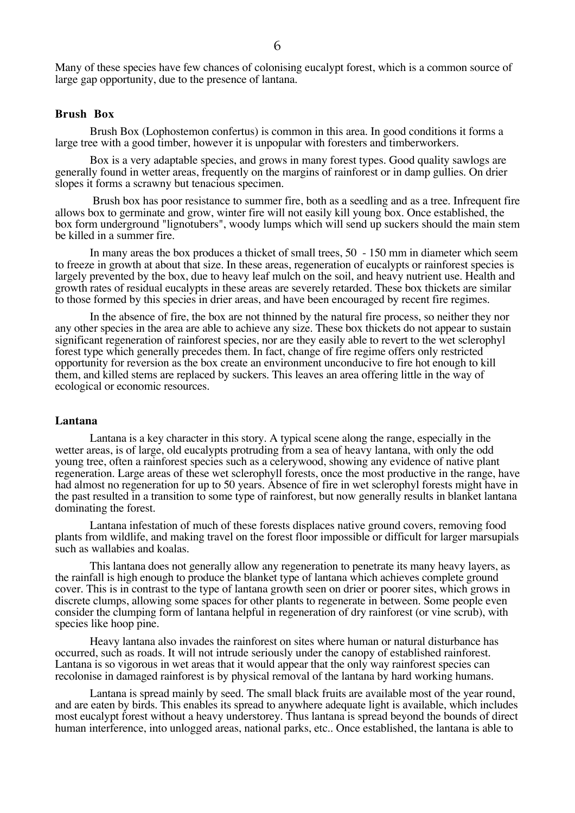Many of these species have few chances of colonising eucalypt forest, which is a common source of large gap opportunity, due to the presence of lantana.

# **Brush Box**

Brush Box (Lophostemon confertus) is common in this area. In good conditions it forms a large tree with a good timber, however it is unpopular with foresters and timberworkers.

Box is a very adaptable species, and grows in many forest types. Good quality sawlogs are generally found in wetter areas, frequently on the margins of rainforest or in damp gullies. On drier slopes it forms a scrawny but tenacious specimen.

 Brush box has poor resistance to summer fire, both as a seedling and as a tree. Infrequent fire allows box to germinate and grow, winter fire will not easily kill young box. Once established, the box form underground "lignotubers", woody lumps which will send up suckers should the main stem be killed in a summer fire.

In many areas the box produces a thicket of small trees, 50 - 150 mm in diameter which seem to freeze in growth at about that size. In these areas, regeneration of eucalypts or rainforest species is largely prevented by the box, due to heavy leaf mulch on the soil, and heavy nutrient use. Health and growth rates of residual eucalypts in these areas are severely retarded. These box thickets are similar to those formed by this species in drier areas, and have been encouraged by recent fire regimes.

In the absence of fire, the box are not thinned by the natural fire process, so neither they nor any other species in the area are able to achieve any size. These box thickets do not appear to sustain significant regeneration of rainforest species, nor are they easily able to revert to the wet sclerophyl forest type which generally precedes them. In fact, change of fire regime offers only restricted opportunity for reversion as the box create an environment unconducive to fire hot enough to kill them, and killed stems are replaced by suckers. This leaves an area offering little in the way of ecological or economic resources.

## **Lantana**

Lantana is a key character in this story. A typical scene along the range, especially in the wetter areas, is of large, old eucalypts protruding from a sea of heavy lantana, with only the odd young tree, often a rainforest species such as a celerywood, showing any evidence of native plant regeneration. Large areas of these wet sclerophyll forests, once the most productive in the range, have had almost no regeneration for up to 50 years. Absence of fire in wet sclerophyl forests might have in the past resulted in a transition to some type of rainforest, but now generally results in blanket lantana dominating the forest.

Lantana infestation of much of these forests displaces native ground covers, removing food plants from wildlife, and making travel on the forest floor impossible or difficult for larger marsupials such as wallabies and koalas.

This lantana does not generally allow any regeneration to penetrate its many heavy layers, as the rainfall is high enough to produce the blanket type of lantana which achieves complete ground cover. This is in contrast to the type of lantana growth seen on drier or poorer sites, which grows in discrete clumps, allowing some spaces for other plants to regenerate in between. Some people even consider the clumping form of lantana helpful in regeneration of dry rainforest (or vine scrub), with species like hoop pine.

Heavy lantana also invades the rainforest on sites where human or natural disturbance has occurred, such as roads. It will not intrude seriously under the canopy of established rainforest. Lantana is so vigorous in wet areas that it would appear that the only way rainforest species can recolonise in damaged rainforest is by physical removal of the lantana by hard working humans.

Lantana is spread mainly by seed. The small black fruits are available most of the year round, and are eaten by birds. This enables its spread to anywhere adequate light is available, which includes most eucalypt forest without a heavy understorey. Thus lantana is spread beyond the bounds of direct human interference, into unlogged areas, national parks, etc.. Once established, the lantana is able to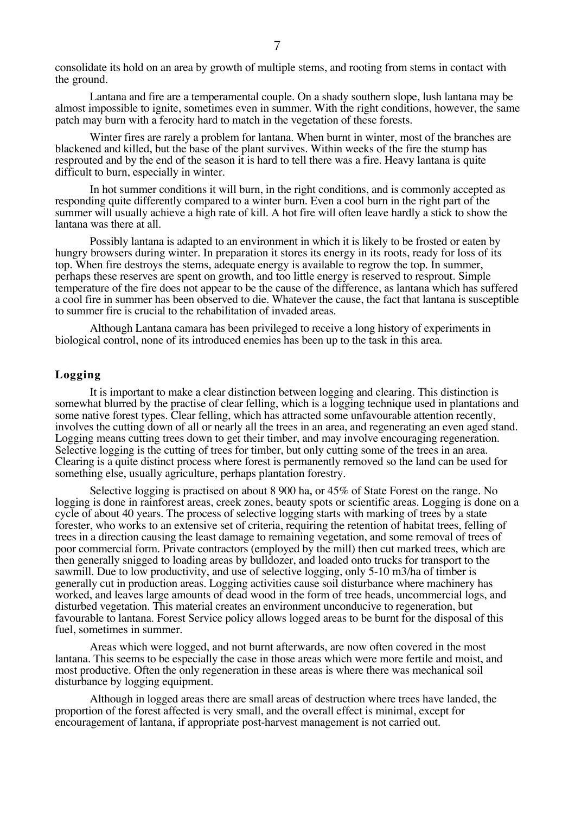consolidate its hold on an area by growth of multiple stems, and rooting from stems in contact with the ground.

Lantana and fire are a temperamental couple. On a shady southern slope, lush lantana may be almost impossible to ignite, sometimes even in summer. With the right conditions, however, the same patch may burn with a ferocity hard to match in the vegetation of these forests.

Winter fires are rarely a problem for lantana. When burnt in winter, most of the branches are blackened and killed, but the base of the plant survives. Within weeks of the fire the stump has resprouted and by the end of the season it is hard to tell there was a fire. Heavy lantana is quite difficult to burn, especially in winter.

In hot summer conditions it will burn, in the right conditions, and is commonly accepted as responding quite differently compared to a winter burn. Even a cool burn in the right part of the summer will usually achieve a high rate of kill. A hot fire will often leave hardly a stick to show the lantana was there at all.

Possibly lantana is adapted to an environment in which it is likely to be frosted or eaten by hungry browsers during winter. In preparation it stores its energy in its roots, ready for loss of its top. When fire destroys the stems, adequate energy is available to regrow the top. In summer, perhaps these reserves are spent on growth, and too little energy is reserved to resprout. Simple temperature of the fire does not appear to be the cause of the difference, as lantana which has suffered a cool fire in summer has been observed to die. Whatever the cause, the fact that lantana is susceptible to summer fire is crucial to the rehabilitation of invaded areas.

Although Lantana camara has been privileged to receive a long history of experiments in biological control, none of its introduced enemies has been up to the task in this area.

# **Logging**

It is important to make a clear distinction between logging and clearing. This distinction is somewhat blurred by the practise of clear felling, which is a logging technique used in plantations and some native forest types. Clear felling, which has attracted some unfavourable attention recently, involves the cutting down of all or nearly all the trees in an area, and regenerating an even aged stand. Logging means cutting trees down to get their timber, and may involve encouraging regeneration. Selective logging is the cutting of trees for timber, but only cutting some of the trees in an area. Clearing is a quite distinct process where forest is permanently removed so the land can be used for something else, usually agriculture, perhaps plantation forestry.

Selective logging is practised on about 8 900 ha, or 45% of State Forest on the range. No logging is done in rainforest areas, creek zones, beauty spots or scientific areas. Logging is done on a cycle of about 40 years. The process of selective logging starts with marking of trees by a state forester, who works to an extensive set of criteria, requiring the retention of habitat trees, felling of trees in a direction causing the least damage to remaining vegetation, and some removal of trees of poor commercial form. Private contractors (employed by the mill) then cut marked trees, which are then generally snigged to loading areas by bulldozer, and loaded onto trucks for transport to the sawmill. Due to low productivity, and use of selective logging, only 5-10 m3/ha of timber is generally cut in production areas. Logging activities cause soil disturbance where machinery has worked, and leaves large amounts of dead wood in the form of tree heads, uncommercial logs, and disturbed vegetation. This material creates an environment unconducive to regeneration, but favourable to lantana. Forest Service policy allows logged areas to be burnt for the disposal of this fuel, sometimes in summer.

Areas which were logged, and not burnt afterwards, are now often covered in the most lantana. This seems to be especially the case in those areas which were more fertile and moist, and most productive. Often the only regeneration in these areas is where there was mechanical soil disturbance by logging equipment.

Although in logged areas there are small areas of destruction where trees have landed, the proportion of the forest affected is very small, and the overall effect is minimal, except for encouragement of lantana, if appropriate post-harvest management is not carried out.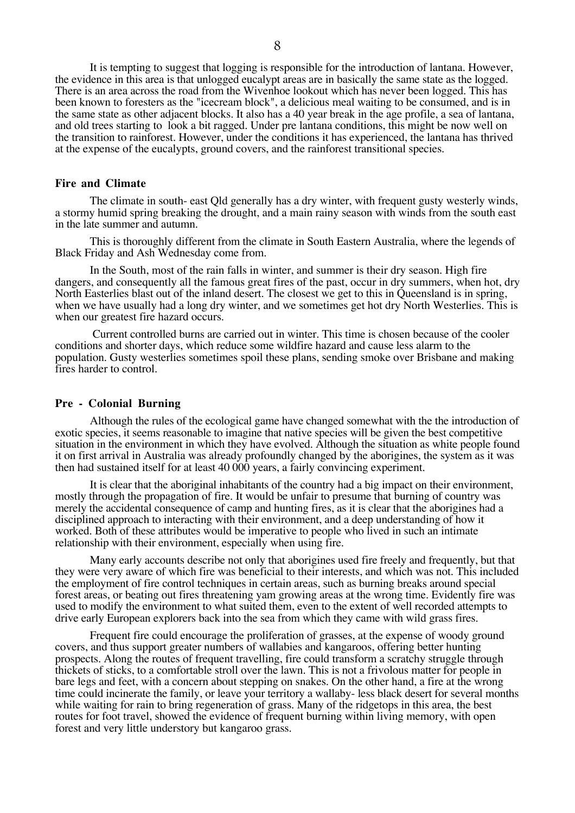It is tempting to suggest that logging is responsible for the introduction of lantana. However, the evidence in this area is that unlogged eucalypt areas are in basically the same state as the logged. There is an area across the road from the Wivenhoe lookout which has never been logged. This has been known to foresters as the "icecream block", a delicious meal waiting to be consumed, and is in the same state as other adjacent blocks. It also has a 40 year break in the age profile, a sea of lantana, and old trees starting to look a bit ragged. Under pre lantana conditions, this might be now well on the transition to rainforest. However, under the conditions it has experienced, the lantana has thrived at the expense of the eucalypts, ground covers, and the rainforest transitional species.

#### **Fire and Climate**

The climate in south- east Qld generally has a dry winter, with frequent gusty westerly winds, a stormy humid spring breaking the drought, and a main rainy season with winds from the south east in the late summer and autumn.

This is thoroughly different from the climate in South Eastern Australia, where the legends of Black Friday and Ash Wednesday come from.

In the South, most of the rain falls in winter, and summer is their dry season. High fire dangers, and consequently all the famous great fires of the past, occur in dry summers, when hot, dry North Easterlies blast out of the inland desert. The closest we get to this in Queensland is in spring, when we have usually had a long dry winter, and we sometimes get hot dry North Westerlies. This is when our greatest fire hazard occurs.

 Current controlled burns are carried out in winter. This time is chosen because of the cooler conditions and shorter days, which reduce some wildfire hazard and cause less alarm to the population. Gusty westerlies sometimes spoil these plans, sending smoke over Brisbane and making fires harder to control.

#### **Pre - Colonial Burning**

Although the rules of the ecological game have changed somewhat with the the introduction of exotic species, it seems reasonable to imagine that native species will be given the best competitive situation in the environment in which they have evolved. Although the situation as white people found it on first arrival in Australia was already profoundly changed by the aborigines, the system as it was then had sustained itself for at least 40 000 years, a fairly convincing experiment.

It is clear that the aboriginal inhabitants of the country had a big impact on their environment, mostly through the propagation of fire. It would be unfair to presume that burning of country was merely the accidental consequence of camp and hunting fires, as it is clear that the aborigines had a disciplined approach to interacting with their environment, and a deep understanding of how it worked. Both of these attributes would be imperative to people who lived in such an intimate relationship with their environment, especially when using fire.

Many early accounts describe not only that aborigines used fire freely and frequently, but that they were very aware of which fire was beneficial to their interests, and which was not. This included the employment of fire control techniques in certain areas, such as burning breaks around special forest areas, or beating out fires threatening yam growing areas at the wrong time. Evidently fire was used to modify the environment to what suited them, even to the extent of well recorded attempts to drive early European explorers back into the sea from which they came with wild grass fires.

Frequent fire could encourage the proliferation of grasses, at the expense of woody ground covers, and thus support greater numbers of wallabies and kangaroos, offering better hunting prospects. Along the routes of frequent travelling, fire could transform a scratchy struggle through thickets of sticks, to a comfortable stroll over the lawn. This is not a frivolous matter for people in bare legs and feet, with a concern about stepping on snakes. On the other hand, a fire at the wrong time could incinerate the family, or leave your territory a wallaby- less black desert for several months while waiting for rain to bring regeneration of grass. Many of the ridgetops in this area, the best routes for foot travel, showed the evidence of frequent burning within living memory, with open forest and very little understory but kangaroo grass.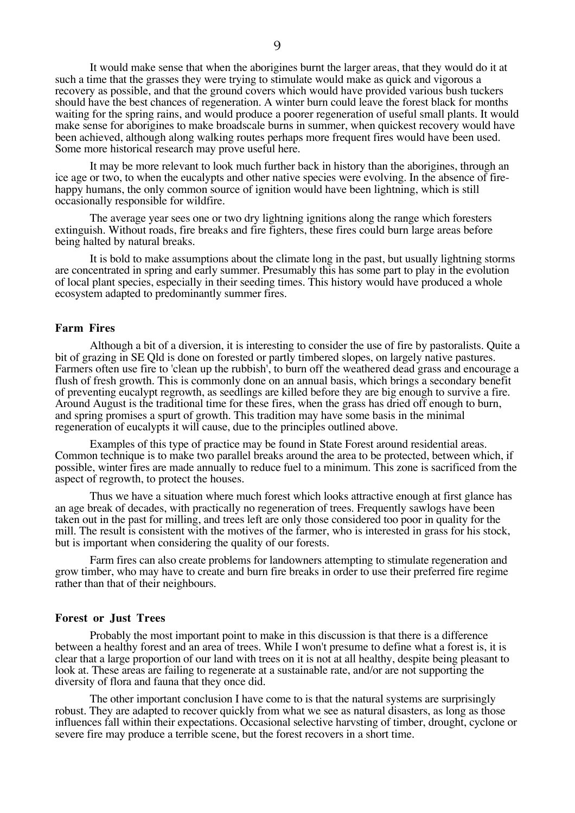It would make sense that when the aborigines burnt the larger areas, that they would do it at such a time that the grasses they were trying to stimulate would make as quick and vigorous a recovery as possible, and that the ground covers which would have provided various bush tuckers should have the best chances of regeneration. A winter burn could leave the forest black for months waiting for the spring rains, and would produce a poorer regeneration of useful small plants. It would make sense for aborigines to make broadscale burns in summer, when quickest recovery would have been achieved, although along walking routes perhaps more frequent fires would have been used. Some more historical research may prove useful here.

It may be more relevant to look much further back in history than the aborigines, through an ice age or two, to when the eucalypts and other native species were evolving. In the absence of firehappy humans, the only common source of ignition would have been lightning, which is still occasionally responsible for wildfire.

The average year sees one or two dry lightning ignitions along the range which foresters extinguish. Without roads, fire breaks and fire fighters, these fires could burn large areas before being halted by natural breaks.

It is bold to make assumptions about the climate long in the past, but usually lightning storms are concentrated in spring and early summer. Presumably this has some part to play in the evolution of local plant species, especially in their seeding times. This history would have produced a whole ecosystem adapted to predominantly summer fires.

# **Farm Fires**

Although a bit of a diversion, it is interesting to consider the use of fire by pastoralists. Quite a bit of grazing in SE Qld is done on forested or partly timbered slopes, on largely native pastures. Farmers often use fire to 'clean up the rubbish', to burn off the weathered dead grass and encourage a flush of fresh growth. This is commonly done on an annual basis, which brings a secondary benefit of preventing eucalypt regrowth, as seedlings are killed before they are big enough to survive a fire. Around August is the traditional time for these fires, when the grass has dried off enough to burn, and spring promises a spurt of growth. This tradition may have some basis in the minimal regeneration of eucalypts it will cause, due to the principles outlined above.

Examples of this type of practice may be found in State Forest around residential areas. Common technique is to make two parallel breaks around the area to be protected, between which, if possible, winter fires are made annually to reduce fuel to a minimum. This zone is sacrificed from the aspect of regrowth, to protect the houses.

Thus we have a situation where much forest which looks attractive enough at first glance has an age break of decades, with practically no regeneration of trees. Frequently sawlogs have been taken out in the past for milling, and trees left are only those considered too poor in quality for the mill. The result is consistent with the motives of the farmer, who is interested in grass for his stock, but is important when considering the quality of our forests.

Farm fires can also create problems for landowners attempting to stimulate regeneration and grow timber, who may have to create and burn fire breaks in order to use their preferred fire regime rather than that of their neighbours.

# **Forest or Just Trees**

Probably the most important point to make in this discussion is that there is a difference between a healthy forest and an area of trees. While I won't presume to define what a forest is, it is clear that a large proportion of our land with trees on it is not at all healthy, despite being pleasant to look at. These areas are failing to regenerate at a sustainable rate, and/or are not supporting the diversity of flora and fauna that they once did.

The other important conclusion I have come to is that the natural systems are surprisingly robust. They are adapted to recover quickly from what we see as natural disasters, as long as those influences fall within their expectations. Occasional selective harvsting of timber, drought, cyclone or severe fire may produce a terrible scene, but the forest recovers in a short time.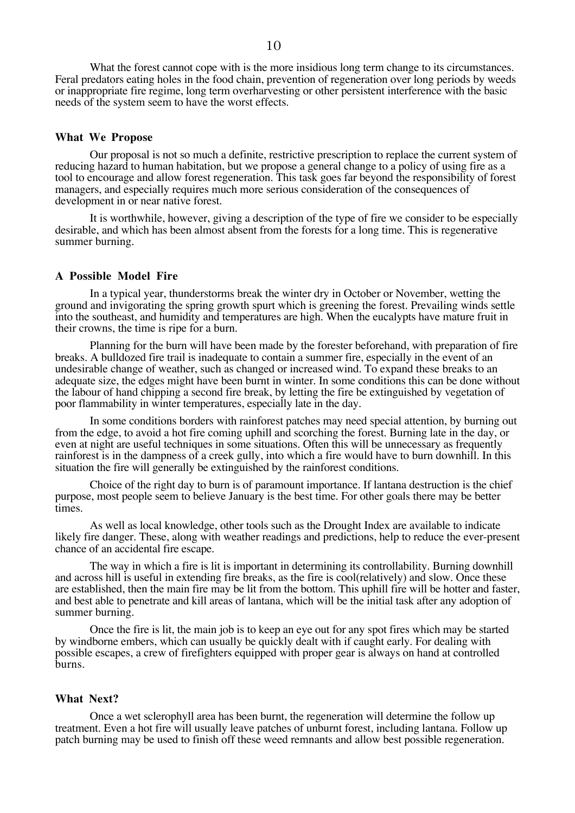What the forest cannot cope with is the more insidious long term change to its circumstances. Feral predators eating holes in the food chain, prevention of regeneration over long periods by weeds or inappropriate fire regime, long term overharvesting or other persistent interference with the basic needs of the system seem to have the worst effects.

#### **What We Propose**

Our proposal is not so much a definite, restrictive prescription to replace the current system of reducing hazard to human habitation, but we propose a general change to a policy of using fire as a tool to encourage and allow forest regeneration. This task goes far beyond the responsibility of forest managers, and especially requires much more serious consideration of the consequences of development in or near native forest.

It is worthwhile, however, giving a description of the type of fire we consider to be especially desirable, and which has been almost absent from the forests for a long time. This is regenerative summer burning.

# **A Possible Model Fire**

In a typical year, thunderstorms break the winter dry in October or November, wetting the ground and invigorating the spring growth spurt which is greening the forest. Prevailing winds settle into the southeast, and humidity and temperatures are high. When the eucalypts have mature fruit in their crowns, the time is ripe for a burn.

Planning for the burn will have been made by the forester beforehand, with preparation of fire breaks. A bulldozed fire trail is inadequate to contain a summer fire, especially in the event of an undesirable change of weather, such as changed or increased wind. To expand these breaks to an adequate size, the edges might have been burnt in winter. In some conditions this can be done without the labour of hand chipping a second fire break, by letting the fire be extinguished by vegetation of poor flammability in winter temperatures, especially late in the day.

In some conditions borders with rainforest patches may need special attention, by burning out from the edge, to avoid a hot fire coming uphill and scorching the forest. Burning late in the day, or even at night are useful techniques in some situations. Often this will be unnecessary as frequently rainforest is in the dampness of a creek gully, into which a fire would have to burn downhill. In this situation the fire will generally be extinguished by the rainforest conditions.

Choice of the right day to burn is of paramount importance. If lantana destruction is the chief purpose, most people seem to believe January is the best time. For other goals there may be better times.

As well as local knowledge, other tools such as the Drought Index are available to indicate likely fire danger. These, along with weather readings and predictions, help to reduce the ever-present chance of an accidental fire escape.

The way in which a fire is lit is important in determining its controllability. Burning downhill and across hill is useful in extending fire breaks, as the fire is cool(relatively) and slow. Once these are established, then the main fire may be lit from the bottom. This uphill fire will be hotter and faster, and best able to penetrate and kill areas of lantana, which will be the initial task after any adoption of summer burning.

Once the fire is lit, the main job is to keep an eye out for any spot fires which may be started by windborne embers, which can usually be quickly dealt with if caught early. For dealing with possible escapes, a crew of firefighters equipped with proper gear is always on hand at controlled burns.

## **What Next?**

Once a wet sclerophyll area has been burnt, the regeneration will determine the follow up treatment. Even a hot fire will usually leave patches of unburnt forest, including lantana. Follow up patch burning may be used to finish off these weed remnants and allow best possible regeneration.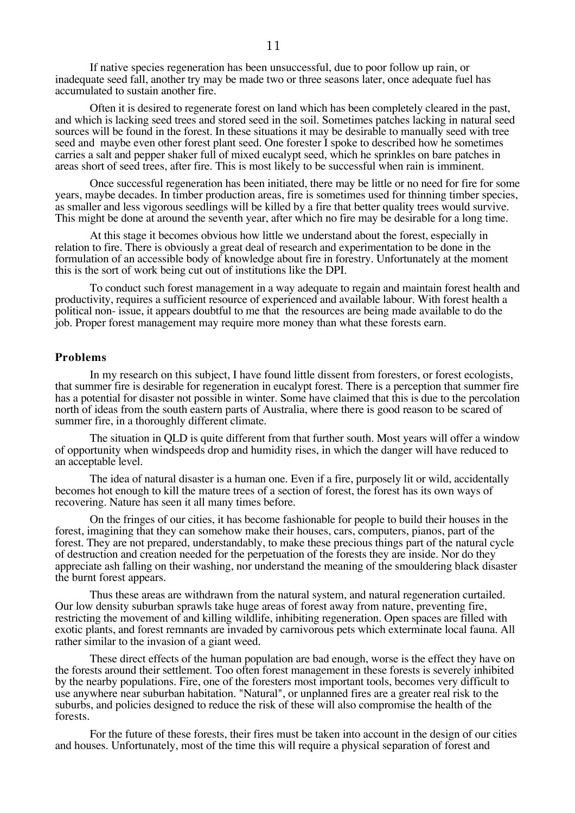If native species regeneration has been unsuccessful, due to poor follow up rain, or inadequate seed fall, another try may be made two or three seasons later, once adequate fuel has accumulated to sustain another fire.

Often it is desired to regenerate forest on land which has been completely cleared in the past, and which is lacking seed trees and stored seed in the soil. Sometimes patches lacking in natural seed sources will be found in the forest. In these situations it may be desirable to manually seed with tree seed and maybe even other forest plant seed. One forester I spoke to described how he sometimes carries a salt and pepper shaker full of mixed eucalypt seed, which he sprinkles on bare patches in areas short of seed trees, after fire. This is most likely to be successful when rain is imminent.

Once successful regeneration has been initiated, there may be little or no need for fire for some years, maybe decades. In timber production areas, fire is sometimes used for thinning timber species, as smaller and less vigorous seedlings will be killed by a fire that better quality trees would survive. This might be done at around the seventh year, after which no fire may be desirable for a long time.

At this stage it becomes obvious how little we understand about the forest, especially in relation to fire. There is obviously a great deal of research and experimentation to be done in the formulation of an accessible body of knowledge about fire in forestry. Unfortunately at the moment this is the sort of work being cut out of institutions like the DPI.

To conduct such forest management in a way adequate to regain and maintain forest health and productivity, requires a sufficient resource of experienced and available labour. With forest health a political non- issue, it appears doubtful to me that the resources are being made available to do the job. Proper forest management may require more money than what these forests earn.

## **Problems**

In my research on this subject, I have found little dissent from foresters, or forest ecologists, that summer fire is desirable for regeneration in eucalypt forest. There is a perception that summer fire has a potential for disaster not possible in winter. Some have claimed that this is due to the percolation north of ideas from the south eastern parts of Australia, where there is good reason to be scared of summer fire, in a thoroughly different climate.

The situation in QLD is quite different from that further south. Most years will offer a window of opportunity when windspeeds drop and humidity rises, in which the danger will have reduced to an acceptable level.

The idea of natural disaster is a human one. Even if a fire, purposely lit or wild, accidentally becomes hot enough to kill the mature trees of a section of forest, the forest has its own ways of recovering. Nature has seen it all many times before.

On the fringes of our cities, it has become fashionable for people to build their houses in the forest, imagining that they can somehow make their houses, cars, computers, pianos, part of the forest. They are not prepared, understandably, to make these precious things part of the natural cycle of destruction and creation needed for the perpetuation of the forests they are inside. Nor do they appreciate ash falling on their washing, nor understand the meaning of the smouldering black disaster the burnt forest appears.

Thus these areas are withdrawn from the natural system, and natural regeneration curtailed. Our low density suburban sprawls take huge areas of forest away from nature, preventing fire, restricting the movement of and killing wildlife, inhibiting regeneration. Open spaces are filled with exotic plants, and forest remnants are invaded by carnivorous pets which exterminate local fauna. All rather similar to the invasion of a giant weed.

These direct effects of the human population are bad enough, worse is the effect they have on the forests around their settlement. Too often forest management in these forests is severely inhibited by the nearby populations. Fire, one of the foresters most important tools, becomes very difficult to use anywhere near suburban habitation. "Natural", or unplanned fires are a greater real risk to the suburbs, and policies designed to reduce the risk of these will also compromise the health of the forests.

For the future of these forests, their fires must be taken into account in the design of our cities and houses. Unfortunately, most of the time this will require a physical separation of forest and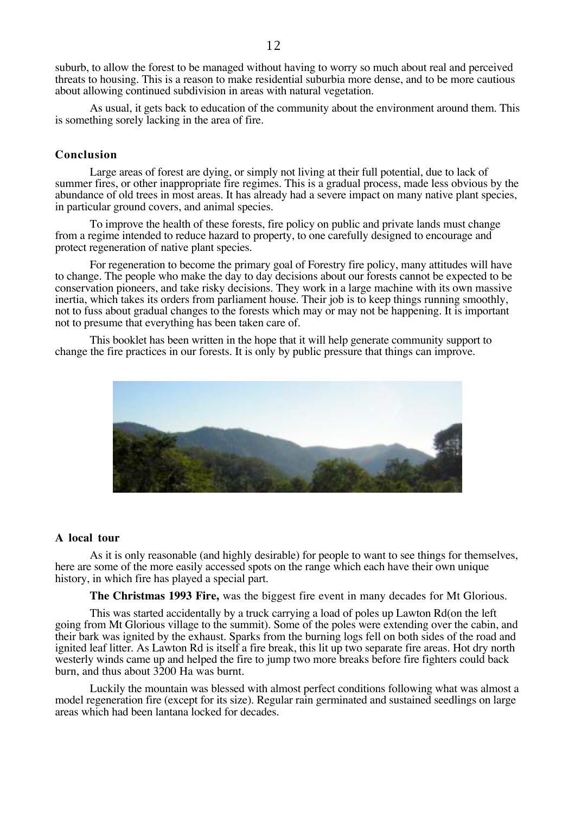suburb, to allow the forest to be managed without having to worry so much about real and perceived threats to housing. This is a reason to make residential suburbia more dense, and to be more cautious about allowing continued subdivision in areas with natural vegetation.

As usual, it gets back to education of the community about the environment around them. This is something sorely lacking in the area of fire.

# **Conclusion**

Large areas of forest are dying, or simply not living at their full potential, due to lack of summer fires, or other inappropriate fire regimes. This is a gradual process, made less obvious by the abundance of old trees in most areas. It has already had a severe impact on many native plant species, in particular ground covers, and animal species.

To improve the health of these forests, fire policy on public and private lands must change from a regime intended to reduce hazard to property, to one carefully designed to encourage and protect regeneration of native plant species.

For regeneration to become the primary goal of Forestry fire policy, many attitudes will have to change. The people who make the day to day decisions about our forests cannot be expected to be conservation pioneers, and take risky decisions. They work in a large machine with its own massive inertia, which takes its orders from parliament house. Their job is to keep things running smoothly, not to fuss about gradual changes to the forests which may or may not be happening. It is important not to presume that everything has been taken care of.

This booklet has been written in the hope that it will help generate community support to change the fire practices in our forests. It is only by public pressure that things can improve.



## **A local tour**

As it is only reasonable (and highly desirable) for people to want to see things for themselves, here are some of the more easily accessed spots on the range which each have their own unique history, in which fire has played a special part.

**The Christmas 1993 Fire,** was the biggest fire event in many decades for Mt Glorious.

This was started accidentally by a truck carrying a load of poles up Lawton Rd(on the left going from Mt Glorious village to the summit). Some of the poles were extending over the cabin, and their bark was ignited by the exhaust. Sparks from the burning logs fell on both sides of the road and ignited leaf litter. As Lawton Rd is itself a fire break, this lit up two separate fire areas. Hot dry north westerly winds came up and helped the fire to jump two more breaks before fire fighters could back burn, and thus about 3200 Ha was burnt.

Luckily the mountain was blessed with almost perfect conditions following what was almost a model regeneration fire (except for its size). Regular rain germinated and sustained seedlings on large areas which had been lantana locked for decades.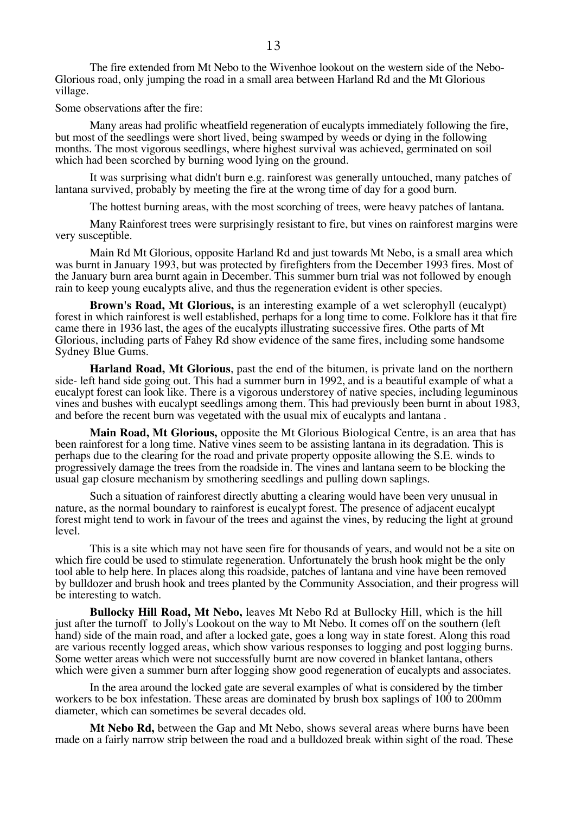The fire extended from Mt Nebo to the Wivenhoe lookout on the western side of the Nebo-Glorious road, only jumping the road in a small area between Harland Rd and the Mt Glorious village.

Some observations after the fire:

Many areas had prolific wheatfield regeneration of eucalypts immediately following the fire, but most of the seedlings were short lived, being swamped by weeds or dying in the following months. The most vigorous seedlings, where highest survival was achieved, germinated on soil which had been scorched by burning wood lying on the ground.

It was surprising what didn't burn e.g. rainforest was generally untouched, many patches of lantana survived, probably by meeting the fire at the wrong time of day for a good burn.

The hottest burning areas, with the most scorching of trees, were heavy patches of lantana.

Many Rainforest trees were surprisingly resistant to fire, but vines on rainforest margins were very susceptible.

Main Rd Mt Glorious, opposite Harland Rd and just towards Mt Nebo, is a small area which was burnt in January 1993, but was protected by firefighters from the December 1993 fires. Most of the January burn area burnt again in December. This summer burn trial was not followed by enough rain to keep young eucalypts alive, and thus the regeneration evident is other species.

**Brown's Road, Mt Glorious,** is an interesting example of a wet sclerophyll (eucalypt) forest in which rainforest is well established, perhaps for a long time to come. Folklore has it that fire came there in 1936 last, the ages of the eucalypts illustrating successive fires. Othe parts of Mt Glorious, including parts of Fahey Rd show evidence of the same fires, including some handsome Sydney Blue Gums.

**Harland Road, Mt Glorious**, past the end of the bitumen, is private land on the northern side- left hand side going out. This had a summer burn in 1992, and is a beautiful example of what a eucalypt forest can look like. There is a vigorous understorey of native species, including leguminous vines and bushes with eucalypt seedlings among them. This had previously been burnt in about 1983, and before the recent burn was vegetated with the usual mix of eucalypts and lantana .

**Main Road, Mt Glorious,** opposite the Mt Glorious Biological Centre, is an area that has been rainforest for a long time. Native vines seem to be assisting lantana in its degradation. This is perhaps due to the clearing for the road and private property opposite allowing the S.E. winds to progressively damage the trees from the roadside in. The vines and lantana seem to be blocking the usual gap closure mechanism by smothering seedlings and pulling down saplings.

Such a situation of rainforest directly abutting a clearing would have been very unusual in nature, as the normal boundary to rainforest is eucalypt forest. The presence of adjacent eucalypt forest might tend to work in favour of the trees and against the vines, by reducing the light at ground level.

This is a site which may not have seen fire for thousands of years, and would not be a site on which fire could be used to stimulate regeneration. Unfortunately the brush hook might be the only tool able to help here. In places along this roadside, patches of lantana and vine have been removed by bulldozer and brush hook and trees planted by the Community Association, and their progress will be interesting to watch.

**Bullocky Hill Road, Mt Nebo,** leaves Mt Nebo Rd at Bullocky Hill, which is the hill just after the turnoff to Jolly's Lookout on the way to Mt Nebo. It comes off on the southern (left hand) side of the main road, and after a locked gate, goes a long way in state forest. Along this road are various recently logged areas, which show various responses to logging and post logging burns. Some wetter areas which were not successfully burnt are now covered in blanket lantana, others which were given a summer burn after logging show good regeneration of eucalypts and associates.

In the area around the locked gate are several examples of what is considered by the timber workers to be box infestation. These areas are dominated by brush box saplings of 100 to 200mm diameter, which can sometimes be several decades old.

**Mt Nebo Rd,** between the Gap and Mt Nebo, shows several areas where burns have been made on a fairly narrow strip between the road and a bulldozed break within sight of the road. These